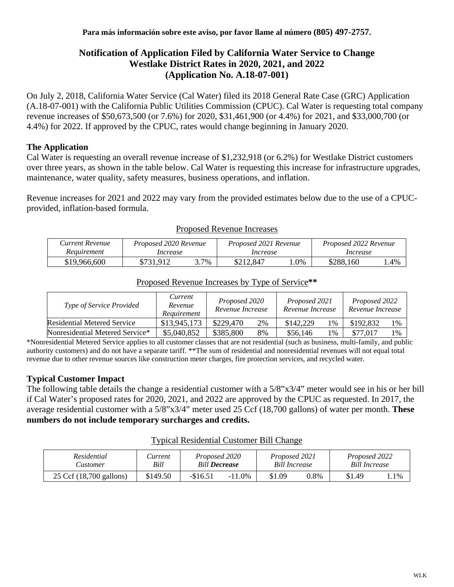## **Notification of Application Filed by California Water Service to Change Westlake District Rates in 2020, 2021, and 2022 (Application No. A.18-07-001)**

On July 2, 2018, California Water Service (Cal Water) filed its 2018 General Rate Case (GRC) Application (A.18-07-001) with the California Public Utilities Commission (CPUC). Cal Water is requesting total company revenue increases of \$50,673,500 (or 7.6%) for 2020, \$31,461,900 (or 4.4%) for 2021, and \$33,000,700 (or 4.4%) for 2022. If approved by the CPUC, rates would change beginning in January 2020.

## **The Application**

Cal Water is requesting an overall revenue increase of \$1,232,918 (or 6.2%) for Westlake District customers over three years, as shown in the table below. Cal Water is requesting this increase for infrastructure upgrades, maintenance, water quality, safety measures, business operations, and inflation.

Revenue increases for 2021 and 2022 may vary from the provided estimates below due to the use of a CPUCprovided, inflation-based formula.

| Current Revenue | Proposed 2020 Revenue |      | Proposed 2021 Revenue |        | Proposed 2022 Revenue |     |  |
|-----------------|-----------------------|------|-----------------------|--------|-----------------------|-----|--|
| Requirement     | Increase              |      | Increase              |        | Increase              |     |  |
| \$19,966,600    | \$731.912             | 3.7% | \$212.847             | $.0\%$ | \$288,160             | .4% |  |

#### Proposed Revenue Increases

| Current<br>Type of Service Provided<br>Revenue<br>Requirement |              | Proposed 2020<br>Revenue Increase |    | Proposed 2021<br>Revenue Increase |    | Proposed 2022<br>Revenue Increase |    |
|---------------------------------------------------------------|--------------|-----------------------------------|----|-----------------------------------|----|-----------------------------------|----|
| Residential Metered Service                                   | \$13,945,173 | \$229,470                         | 2% | \$142,229                         | 1% | \$192,832                         | 1% |
| Nonresidential Metered Service*                               | \$5,040,852  | \$385,800                         | 8% | \$56,146                          | 1% | \$77,017                          | 1% |

# Proposed Revenue Increases by Type of Service**\*\***

\*Nonresidential Metered Service applies to all customer classes that are not residential (such as business, multi-family, and public authority customers) and do not have a separate tariff. \*\*The sum of residential and nonresidential revenues will not equal total revenue due to other revenue sources like construction meter charges, fire protection services, and recycled water.

## **Typical Customer Impact**

The following table details the change a residential customer with a 5/8"x3/4" meter would see in his or her bill if Cal Water's proposed rates for 2020, 2021, and 2022 are approved by the CPUC as requested. In 2017, the average residential customer with a 5/8"x3/4" meter used 25 Ccf (18,700 gallons) of water per month. **These numbers do not include temporary surcharges and credits.**

#### Typical Residential Customer Bill Change

| Residential             | Current  | Proposed 2020        |           | Proposed 2021        |      | Proposed 2022        |         |
|-------------------------|----------|----------------------|-----------|----------------------|------|----------------------|---------|
| Lustomer                | Bill     | <b>Bill Decrease</b> |           | <b>Bill Increase</b> |      | <b>Bill Increase</b> |         |
| 25 Ccf (18,700 gallons) | \$149.50 | -\$16.51             | $-11.0\%$ | \$1.09               | 0.8% | \$1.49               | . . 1 % |